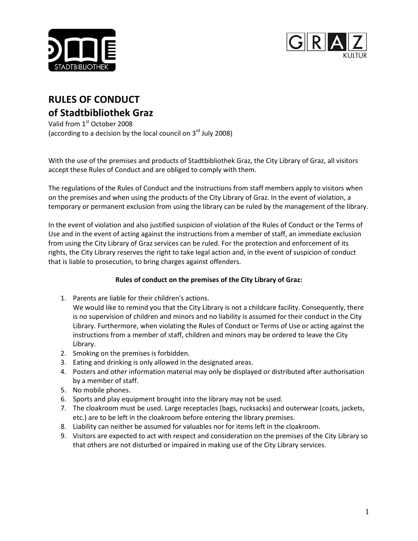



# **RULES OF CONDUCT of Stadtbibliothek Graz**

Valid from 1st October 2008 (according to a decision by the local council on  $3<sup>rd</sup>$  July 2008)

With the use of the premises and products of Stadtbibliothek Graz, the City Library of Graz, all visitors accept these Rules of Conduct and are obliged to comply with them.

The regulations of the Rules of Conduct and the instructions from staff members apply to visitors when on the premises and when using the products of the City Library of Graz. In the event of violation, a temporary or permanent exclusion from using the library can be ruled by the management of the library.

In the event of violation and also justified suspicion of violation of the Rules of Conduct or the Terms of Use and in the event of acting against the instructions from a member of staff, an immediate exclusion from using the City Library of Graz services can be ruled. For the protection and enforcement of its rights, the City Library reserves the right to take legal action and, in the event of suspicion of conduct that is liable to prosecution, to bring charges against offenders.

## **Rules of conduct on the premises of the City Library of Graz:**

1. Parents are liable for their children's actions.

We would like to remind you that the City Library is not a childcare facility. Consequently, there is no supervision of children and minors and no liability is assumed for their conduct in the City Library. Furthermore, when violating the Rules of Conduct or Terms of Use or acting against the instructions from a member of staff, children and minors may be ordered to leave the City Library.

- 2. Smoking on the premises is forbidden.
- 3. Eating and drinking is only allowed in the designated areas.
- 4. Posters and other information material may only be displayed or distributed after authorisation by a member of staff.
- 5. No mobile phones.
- 6. Sports and play equipment brought into the library may not be used.
- 7. The cloakroom must be used. Large receptacles (bags, rucksacks) and outerwear (coats, jackets, etc.) are to be left in the cloakroom before entering the library premises.
- 8. Liability can neither be assumed for valuables nor for items left in the cloakroom.
- 9. Visitors are expected to act with respect and consideration on the premises of the City Library so that others are not disturbed or impaired in making use of the City Library services.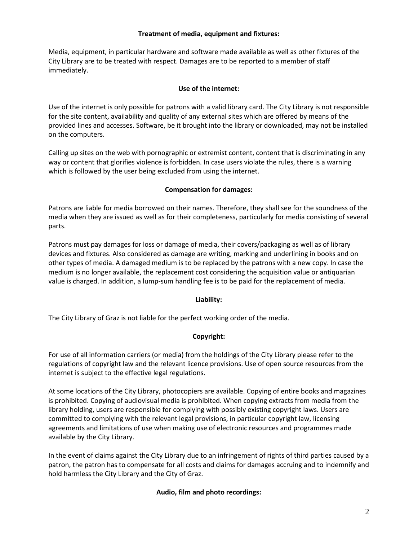#### **Treatment of media, equipment and fixtures:**

Media, equipment, in particular hardware and software made available as well as other fixtures of the City Library are to be treated with respect. Damages are to be reported to a member of staff immediately.

#### **Use of the internet:**

Use of the internet is only possible for patrons with a valid library card. The City Library is not responsible for the site content, availability and quality of any external sites which are offered by means of the provided lines and accesses. Software, be it brought into the library or downloaded, may not be installed on the computers.

Calling up sites on the web with pornographic or extremist content, content that is discriminating in any way or content that glorifies violence is forbidden. In case users violate the rules, there is a warning which is followed by the user being excluded from using the internet.

#### **Compensation for damages:**

Patrons are liable for media borrowed on their names. Therefore, they shall see for the soundness of the media when they are issued as well as for their completeness, particularly for media consisting of several parts.

Patrons must pay damages for loss or damage of media, their covers/packaging as well as of library devices and fixtures. Also considered as damage are writing, marking and underlining in books and on other types of media. A damaged medium is to be replaced by the patrons with a new copy. In case the medium is no longer available, the replacement cost considering the acquisition value or antiquarian value is charged. In addition, a lump-sum handling fee is to be paid for the replacement of media.

## **Liability:**

The City Library of Graz is not liable for the perfect working order of the media.

## **Copyright:**

For use of all information carriers (or media) from the holdings of the City Library please refer to the regulations of copyright law and the relevant licence provisions. Use of open source resources from the internet is subject to the effective legal regulations.

At some locations of the City Library, photocopiers are available. Copying of entire books and magazines is prohibited. Copying of audiovisual media is prohibited. When copying extracts from media from the library holding, users are responsible for complying with possibly existing copyright laws. Users are committed to complying with the relevant legal provisions, in particular copyright law, licensing agreements and limitations of use when making use of electronic resources and programmes made available by the City Library.

In the event of claims against the City Library due to an infringement of rights of third parties caused by a patron, the patron has to compensate for all costs and claims for damages accruing and to indemnify and hold harmless the City Library and the City of Graz.

## **Audio, film and photo recordings:**